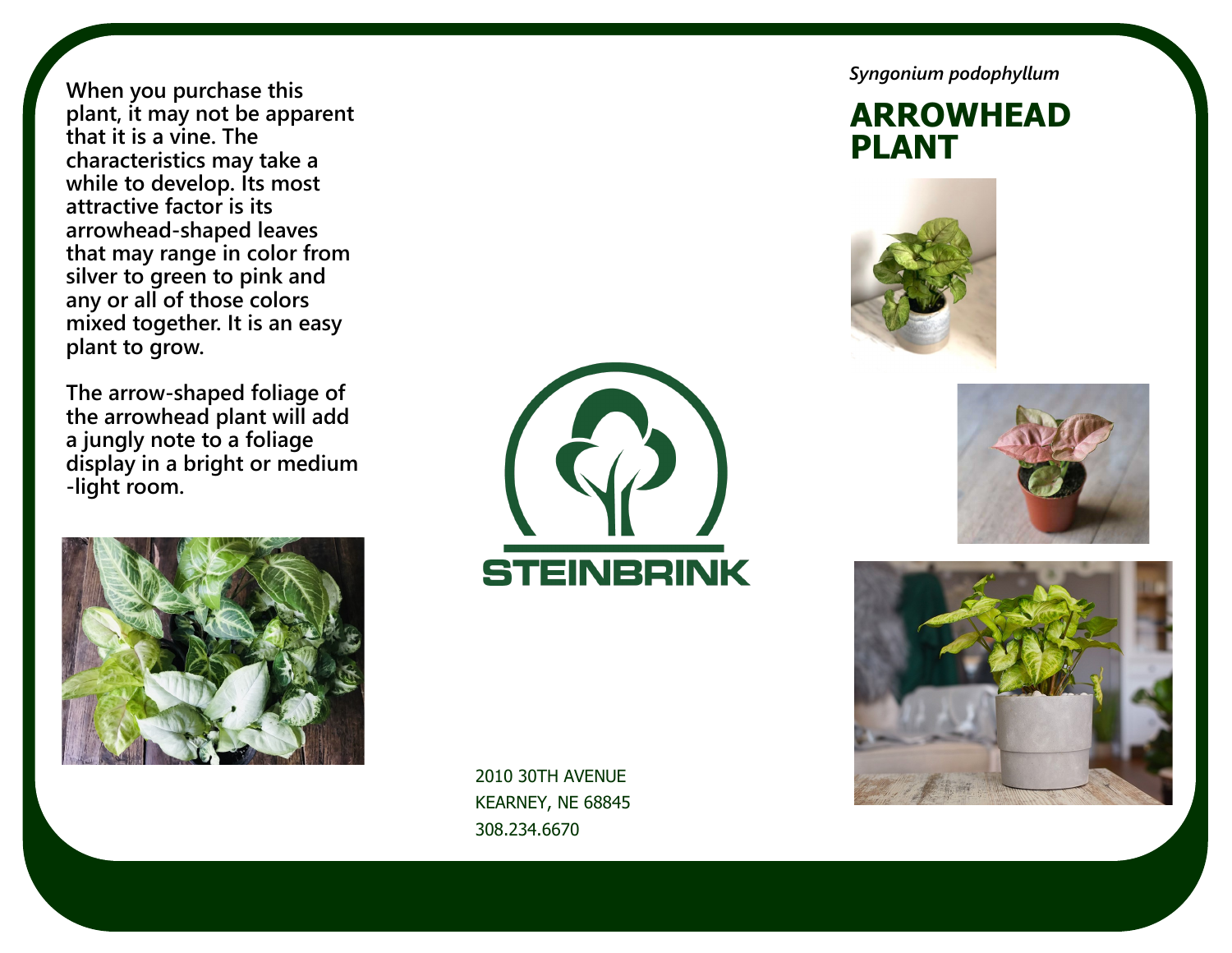**When you purchase this plant, it may not be apparent that it is a vine. The characteristics may take a while to develop. Its most attractive factor is its arrowhead-shaped leaves that may range in color from silver to green to pink and any or all of those colors mixed together. It is an easy plant to grow.**

**The arrow-shaped foliage of the arrowhead plant will add a jungly note to a foliage display in a bright or medium -light room.** 





2010 30TH AVENUE KEARNEY, NE 68845 308.234.6670

*Syngonium podophyllum*

**ARROWHEAD PLANT**